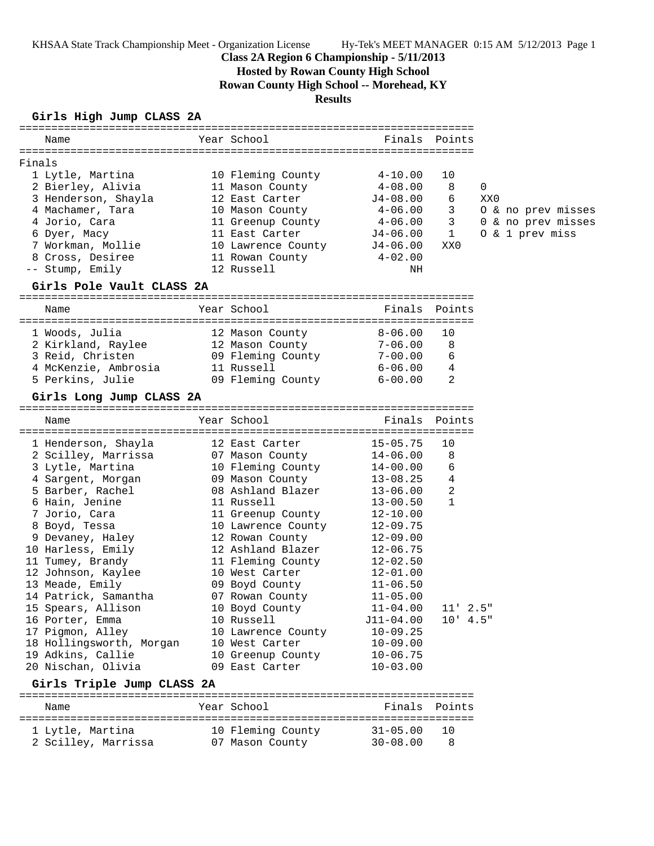KHSAA State Track Championship Meet - Organization License Hy-Tek's MEET MANAGER 0:15 AM 5/12/2013 Page 1

# **Class 2A Region 6 Championship - 5/11/2013**

**Hosted by Rowan County High School**

**Rowan County High School -- Morehead, KY**

**Results**

## **Girls High Jump CLASS 2A**

| Name                                                                                                                                                                                                                          |                                                                                     |                                                    |                                          |                                          |
|-------------------------------------------------------------------------------------------------------------------------------------------------------------------------------------------------------------------------------|-------------------------------------------------------------------------------------|----------------------------------------------------|------------------------------------------|------------------------------------------|
| Finals                                                                                                                                                                                                                        |                                                                                     |                                                    |                                          |                                          |
| 1 Lytle, Martina 10 Fleming County 4-10.00                                                                                                                                                                                    |                                                                                     |                                                    | 10                                       |                                          |
|                                                                                                                                                                                                                               |                                                                                     |                                                    | 8                                        |                                          |
| 2 Bierley, Alivia  2 Bierley, Alivia  2 Bierley, Alivia  2 Bierley, 2 Bierley, 2 Bierley, 2 Bierley, 2 Bierley, 2 Bierley, 2 Bierley, 2 Bierley, 2 Bierley, 2 Bierley, 2 Bierley, 2 Bierley, 2 Bierley, 2 Bierley, 2 Bierley, |                                                                                     |                                                    |                                          | 0                                        |
| 3 Henderson, Shayla 12 East Carter 51-08.00                                                                                                                                                                                   |                                                                                     |                                                    | 6                                        | XX0                                      |
|                                                                                                                                                                                                                               |                                                                                     |                                                    | 3 <sup>7</sup><br>$3 \quad \blacksquare$ | 0 & no prev misses<br>0 & no prev misses |
| 4 Machamer, Tara $\begin{array}{ccc} 4 & \text{Mason County} \\ 4 & \text{Jorio, Cara} \\ 6 & \text{Dyer, Macy} \end{array}$ 11 Greenup County                                                                                |                                                                                     | $4-06.00$<br>$4-06.00$<br>$J4-06.00$               | 1                                        | 0 & 1 prev miss                          |
| 7 Workman, Mollie 10 Lawrence County 54-06.00                                                                                                                                                                                 |                                                                                     |                                                    | XX0                                      |                                          |
| 8 Cross, Desiree 11 Rowan County 4-02.00                                                                                                                                                                                      |                                                                                     |                                                    |                                          |                                          |
| -- Stump, Emily                                                                                                                                                                                                               | 12 Russell                                                                          | ΝH                                                 |                                          |                                          |
| Girls Pole Vault CLASS 2A                                                                                                                                                                                                     |                                                                                     |                                                    |                                          |                                          |
| Name                                                                                                                                                                                                                          | Year School                                                                         |                                                    | Finals Points                            |                                          |
|                                                                                                                                                                                                                               |                                                                                     |                                                    |                                          |                                          |
| 1 Woods, Julia                                                                                                                                                                                                                | 12 Mason County 8-06.00                                                             |                                                    | 10                                       |                                          |
| 2 Kirkland, Raylee 12 Mason County<br>3 Reid, Christen 19 Pleming County<br>4 McKenzie, Ambrosia 11 Russell                                                                                                                   |                                                                                     | $7 - 06.00$<br>7-06.00 8<br>7-00.00 6<br>6-06.00 4 |                                          |                                          |
|                                                                                                                                                                                                                               |                                                                                     |                                                    |                                          |                                          |
|                                                                                                                                                                                                                               |                                                                                     |                                                    |                                          |                                          |
| 5 Perkins, Julie 6-00.00 Pleming County 6-00.00                                                                                                                                                                               |                                                                                     |                                                    | 2                                        |                                          |
| Girls Long Jump CLASS 2A                                                                                                                                                                                                      |                                                                                     |                                                    |                                          |                                          |
| Name                                                                                                                                                                                                                          | Year School <b>Finals</b> Points                                                    |                                                    |                                          |                                          |
| 1 Henderson, Shayla             12 East Carter                                                                                                                                                                                |                                                                                     | $15 - 05.75$                                       | 10                                       |                                          |
|                                                                                                                                                                                                                               |                                                                                     |                                                    | 8                                        |                                          |
| 2 Scilley, Marrissa 67 Mason County 14-06.00                                                                                                                                                                                  |                                                                                     |                                                    | 6                                        |                                          |
| 3 Lytle, Martina 10 Fleming County 14-00.00<br>4 Sargent, Morgan 10 Mason County 13-08.25<br>5 Barbar, Basbal 12,06,00                                                                                                        |                                                                                     |                                                    |                                          |                                          |
| 5 Barber, Rachel                                                                                                                                                                                                              | 08 Ashland Blazer                                                                   | 13-08.25<br>13-06.00                               | $\overline{4}$<br>2                      |                                          |
| 6 Hain, Jenine                                                                                                                                                                                                                | 11 Russell                                                                          | $13 - 00.50$                                       | 1                                        |                                          |
| 7 Jorio, Cara                                                                                                                                                                                                                 | 11 Greenup County                                                                   | 12-10.00                                           |                                          |                                          |
| 8 Boyd, Tessa                                                                                                                                                                                                                 | 10 Lawrence County                                                                  | $12 - 09.75$                                       |                                          |                                          |
| 9 Devaney, Haley 12 Rowan County                                                                                                                                                                                              |                                                                                     | $12 - 09.00$                                       |                                          |                                          |
| 10 Harless, Emily                                                                                                                                                                                                             |                                                                                     |                                                    |                                          |                                          |
| 11 Tumey, Brandy                                                                                                                                                                                                              | 12 Ashland Blazer 12-06.75<br>11 Fleming County 12-02.50<br>10 West Carter 12-01.00 |                                                    |                                          |                                          |
| 12 Johnson, Kaylee                                                                                                                                                                                                            |                                                                                     |                                                    |                                          |                                          |
| 13 Meade, Emily                                                                                                                                                                                                               | 09 Boyd County                                                                      | $11 - 06.50$                                       |                                          |                                          |
| 14 Patrick, Samantha                                                                                                                                                                                                          | 07 Rowan County                                                                     | $11 - 05.00$                                       |                                          |                                          |
| 15 Spears, Allison                                                                                                                                                                                                            | 10 Boyd County                                                                      | $11 - 04.00$                                       | $11'$ $2.5"$                             |                                          |
| 16 Porter, Emma                                                                                                                                                                                                               | 10 Russell                                                                          | $J11-04.00$                                        | $10'$ 4.5"                               |                                          |
| 17 Pigmon, Alley                                                                                                                                                                                                              | 10 Lawrence County                                                                  | $10 - 09.25$                                       |                                          |                                          |
| 18 Hollingsworth, Morgan                                                                                                                                                                                                      | 10 West Carter                                                                      | $10 - 09.00$                                       |                                          |                                          |
| 19 Adkins, Callie                                                                                                                                                                                                             | 10 Greenup County                                                                   | $10 - 06.75$                                       |                                          |                                          |
| 20 Nischan, Olivia                                                                                                                                                                                                            | 09 East Carter                                                                      | $10 - 03.00$                                       |                                          |                                          |
| Girls Triple Jump CLASS 2A                                                                                                                                                                                                    |                                                                                     |                                                    |                                          |                                          |
|                                                                                                                                                                                                                               |                                                                                     |                                                    |                                          |                                          |
| Name                                                                                                                                                                                                                          | Year School                                                                         |                                                    | Finals Points                            |                                          |
| 1 Lytle, Martina                                                                                                                                                                                                              | 10 Fleming County                                                                   | $31 - 05.00$                                       | 10                                       |                                          |
| 2 Scilley, Marrissa                                                                                                                                                                                                           | 07 Mason County                                                                     | $30 - 08.00$                                       | 8                                        |                                          |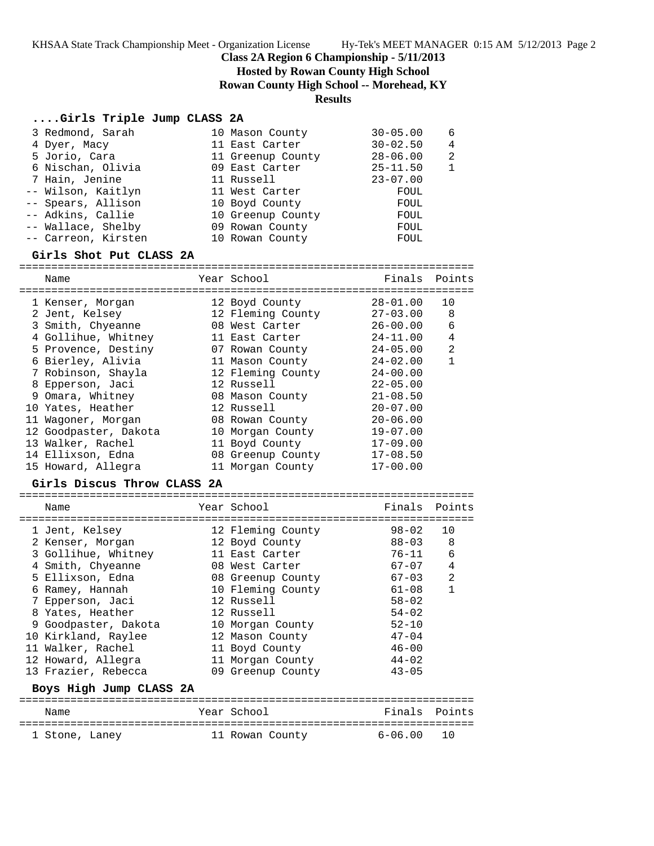**Class 2A Region 6 Championship - 5/11/2013**

**Hosted by Rowan County High School**

**Rowan County High School -- Morehead, KY**

## **Results**

## **....Girls Triple Jump CLASS 2A**

|                                                                                                                                                                                                        | $30 - 05.00$                                                                                                                                                                          | 6 |
|--------------------------------------------------------------------------------------------------------------------------------------------------------------------------------------------------------|---------------------------------------------------------------------------------------------------------------------------------------------------------------------------------------|---|
|                                                                                                                                                                                                        | $30 - 02.50$                                                                                                                                                                          | 4 |
|                                                                                                                                                                                                        | $28 - 06.00$                                                                                                                                                                          | 2 |
|                                                                                                                                                                                                        | $25 - 11.50$                                                                                                                                                                          |   |
|                                                                                                                                                                                                        | $23 - 07.00$                                                                                                                                                                          |   |
|                                                                                                                                                                                                        | FOUL                                                                                                                                                                                  |   |
|                                                                                                                                                                                                        | FOUL                                                                                                                                                                                  |   |
|                                                                                                                                                                                                        | FOUL                                                                                                                                                                                  |   |
|                                                                                                                                                                                                        | FOUL                                                                                                                                                                                  |   |
|                                                                                                                                                                                                        | FOUL                                                                                                                                                                                  |   |
| 3 Redmond, Sarah<br>4 Dyer, Macy<br>5 Jorio, Cara<br>6 Nischan, Olivia<br>7 Hain, Jenine<br>-- Wilson, Kaitlyn<br>-- Spears, Allison<br>-- Adkins, Callie<br>-- Wallace, Shelby<br>-- Carreon, Kirsten | 10 Mason County<br>11 East Carter<br>11 Greenup County<br>09 East Carter<br>11 Russell<br>11 West Carter<br>10 Boyd County<br>10 Greenup County<br>09 Rowan County<br>10 Rowan County |   |

#### **Girls Shot Put CLASS 2A**

======================================================================= Name Tear School Tear School Finals Points ======================================================================= 1 Kenser, Morgan 12 Boyd County 28-01.00 10 2 Jent, Kelsey 12 Fleming County 27-03.00 8 3 Smith, Chyeanne 08 West Carter 26-00.00 6 4 Gollihue, Whitney 11 East Carter 24-11.00 4 5 Provence, Destiny 07 Rowan County 24-05.00 2 6 Bierley, Alivia 11 Mason County 24-02.00 1 7 Robinson, Shayla 12 Fleming County 24-00.00 8 Epperson, Jaci 12 Russell 22-05.00 9 Omara, Whitney 08 Mason County 21-08.50 10 Yates, Heather 12 Russell 20-07.00 11 Wagoner, Morgan 08 Rowan County 20-06.00 12 Goodpaster, Dakota 10 Morgan County 19-07.00 13 Walker, Rachel 11 Boyd County 17-09.00 14 Ellixson, Edna 08 Greenup County 17-08.50

15 Howard, Allegra 11 Morgan County 17-00.00

#### **Girls Discus Throw CLASS 2A**

| Name                                                                 | Year School                                              | Finals                              | Points                 |
|----------------------------------------------------------------------|----------------------------------------------------------|-------------------------------------|------------------------|
| 1 Jent, Kelsey<br>2 Kenser, Morgan<br>3 Gollihue, Whitney            | 12 Fleming County<br>12 Boyd County<br>11 East Carter    | 98-02<br>88-03<br>$76 - 11$         | 1 O<br>8<br>6          |
| 4 Smith, Chyeanne<br>5 Ellixson, Edna<br>6 Ramey, Hannah             | 08 West Carter<br>08 Greenup County<br>10 Fleming County | 67-07<br>$67 - 03$<br>$61 - 08$     | 4<br>2<br>$\mathbf{1}$ |
| 7 Epperson, Jaci<br>8 Yates, Heather                                 | 12 Russell<br>12 Russell                                 | $58 - 02$<br>$54 - 02$              |                        |
| 9 Goodpaster, Dakota<br>10 Kirkland, Raylee<br>11 Walker, Rachel     | 10 Morgan County<br>12 Mason County<br>11 Boyd County    | $52 - 10$<br>$47 - 04$<br>$46 - 00$ |                        |
| 12 Howard, Allegra<br>13 Frazier, Rebecca<br>Boys High Jump CLASS 2A | 11 Morgan County<br>09 Greenup County                    | $44 - 02$<br>$43 - 05$              |                        |
|                                                                      |                                                          |                                     |                        |

| Name |                | Year School |                 | Finals Points |  |
|------|----------------|-------------|-----------------|---------------|--|
|      | 1 Stone, Laney |             | 11 Rowan County | 6-06.00 10    |  |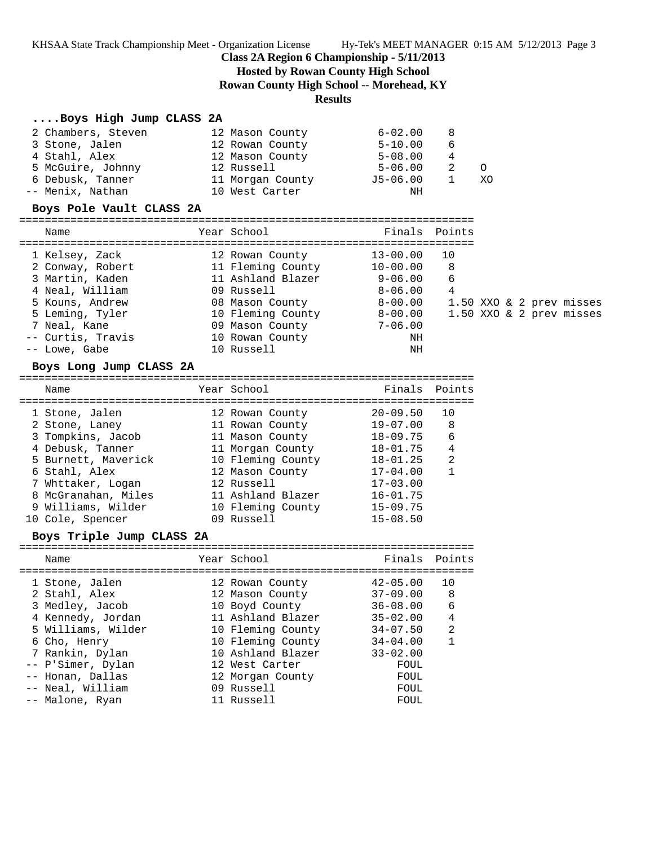KHSAA State Track Championship Meet - Organization License Hy-Tek's MEET MANAGER 0:15 AM 5/12/2013 Page 3

# **Class 2A Region 6 Championship - 5/11/2013**

**Hosted by Rowan County High School**

**Rowan County High School -- Morehead, KY**

# **Results**

### **....Boys High Jump CLASS 2A**

| 2 Chambers, Steven | 12 Mason County  | $6 - 02.00$ | -8   |    |
|--------------------|------------------|-------------|------|----|
| 3 Stone, Jalen     | 12 Rowan County  | $5 - 10.00$ | 6    |    |
| 4 Stahl, Alex      | 12 Mason County  | $5 - 08.00$ | 4    |    |
| 5 McGuire, Johnny  | 12 Russell       | $5 - 06.00$ | - 2. |    |
| 6 Debusk, Tanner   | 11 Morgan County | J5-06.00    |      | XO |
| -- Menix, Nathan   | 10 West Carter   | NН          |      |    |

### **Boys Pole Vault CLASS 2A**

=======================================================================

| Name          |                   | Year School       |              | Finals Points |  |  |                          |
|---------------|-------------------|-------------------|--------------|---------------|--|--|--------------------------|
|               |                   |                   |              |               |  |  |                          |
|               | 1 Kelsey, Zack    | 12 Rowan County   | $13 - 00.00$ | 10            |  |  |                          |
|               | 2 Conway, Robert  | 11 Fleming County | $10 - 00.00$ | 8             |  |  |                          |
|               | 3 Martin, Kaden   | 11 Ashland Blazer | $9 - 06.00$  | 6             |  |  |                          |
|               | 4 Neal, William   | 09 Russell        | $8 - 06.00$  | 4             |  |  |                          |
|               | 5 Kouns, Andrew   | 08 Mason County   | $8 - 00.00$  |               |  |  | 1.50 XXO & 2 prev misses |
|               | 5 Leming, Tyler   | 10 Fleming County | $8 - 00.00$  |               |  |  | 1.50 XXO & 2 prev misses |
| 7 Neal, Kane  |                   | 09 Mason County   | $7 - 06.00$  |               |  |  |                          |
|               | -- Curtis, Travis | 10 Rowan County   | ΝH           |               |  |  |                          |
| -- Lowe, Gabe |                   | 10 Russell        | ΝH           |               |  |  |                          |

#### **Boys Long Jump CLASS 2A**

| Name                | Year School       | Finals Points |                |
|---------------------|-------------------|---------------|----------------|
| 1 Stone, Jalen      | 12 Rowan County   | $20 - 09.50$  | 10             |
| 2 Stone, Laney      | 11 Rowan County   | $19 - 07.00$  | 8              |
| 3 Tompkins, Jacob   | 11 Mason County   | $18 - 09.75$  | 6              |
| 4 Debusk, Tanner    | 11 Morgan County  | $18 - 01.75$  | 4              |
| 5 Burnett, Maverick | 10 Fleming County | $18 - 01.25$  | $\mathfrak{D}$ |
| 6 Stahl, Alex       | 12 Mason County   | $17 - 04.00$  |                |
| 7 Whttaker, Logan   | 12 Russell        | $17 - 03.00$  |                |
| 8 McGranahan, Miles | 11 Ashland Blazer | $16 - 01.75$  |                |
| 9 Williams, Wilder  | 10 Fleming County | $15 - 09.75$  |                |
| 10 Cole, Spencer    | 09 Russell        | $15 - 08.50$  |                |
|                     |                   |               |                |

### **Boys Triple Jump CLASS 2A**

| Name                                                                                                                                                                      | Year School                                                                                                                                                                    | Finals Points                                                                                                                |                               |
|---------------------------------------------------------------------------------------------------------------------------------------------------------------------------|--------------------------------------------------------------------------------------------------------------------------------------------------------------------------------|------------------------------------------------------------------------------------------------------------------------------|-------------------------------|
| 1 Stone, Jalen<br>2 Stahl, Alex<br>3 Medley, Jacob<br>4 Kennedy, Jordan<br>5 Williams, Wilder<br>6 Cho, Henry<br>7 Rankin, Dylan<br>-- P'Simer, Dylan<br>-- Honan, Dallas | 12 Rowan County<br>12 Mason County<br>10 Boyd County<br>11 Ashland Blazer<br>10 Fleming County<br>10 Fleming County<br>10 Ashland Blazer<br>12 West Carter<br>12 Morgan County | $42 - 05.00$<br>$37 - 09.00$<br>$36 - 08.00$<br>$35 - 02.00$<br>$34 - 07.50$<br>$34 - 04.00$<br>$33 - 02.00$<br>FOUL<br>FOUL | 1 O<br>-8<br>6<br>4<br>2<br>1 |
| -- Neal, William<br>-- Malone, Ryan                                                                                                                                       | 09 Russell<br>11 Russell                                                                                                                                                       | FOUL<br>FOUL                                                                                                                 |                               |
|                                                                                                                                                                           |                                                                                                                                                                                |                                                                                                                              |                               |